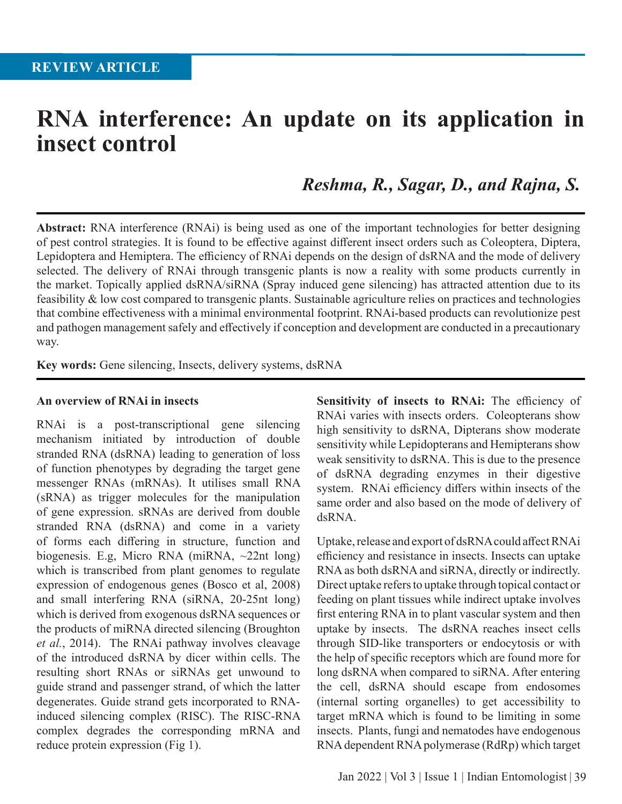# **RNA interference: An update on its application in insect control**

*Reshma, R., Sagar, D., and Rajna, S.*

**Abstract:** RNA interference (RNAi) is being used as one of the important technologies for better designing of pest control strategies. It is found to be effective against different insect orders such as Coleoptera, Diptera, Lepidoptera and Hemiptera. The efficiency of RNAi depends on the design of dsRNA and the mode of delivery selected. The delivery of RNAi through transgenic plants is now a reality with some products currently in the market. Topically applied dsRNA/siRNA (Spray induced gene silencing) has attracted attention due to its feasibility & low cost compared to transgenic plants. Sustainable agriculture relies on practices and technologies that combine effectiveness with a minimal environmental footprint. RNAi-based products can revolutionize pest and pathogen management safely and effectively if conception and development are conducted in a precautionary way.

**Key words:** Gene silencing, Insects, delivery systems, dsRNA

#### **An overview of RNAi in insects**

RNAi is a post-transcriptional gene silencing mechanism initiated by introduction of double stranded RNA (dsRNA) leading to generation of loss of function phenotypes by degrading the target gene messenger RNAs (mRNAs). It utilises small RNA (sRNA) as trigger molecules for the manipulation of gene expression. sRNAs are derived from double stranded RNA (dsRNA) and come in a variety of forms each differing in structure, function and biogenesis. E.g, Micro RNA (miRNA, ~22nt long) which is transcribed from plant genomes to regulate expression of endogenous genes (Bosco et al, 2008) and small interfering RNA (siRNA, 20-25nt long) which is derived from exogenous dsRNA sequences or the products of miRNA directed silencing (Broughton *et al.*, 2014). The RNAi pathway involves cleavage of the introduced dsRNA by dicer within cells. The resulting short RNAs or siRNAs get unwound to guide strand and passenger strand, of which the latter degenerates. Guide strand gets incorporated to RNAinduced silencing complex (RISC). The RISC-RNA complex degrades the corresponding mRNA and reduce protein expression (Fig 1).

**Sensitivity of insects to RNAi:** The efficiency of RNAi varies with insects orders. Coleopterans show high sensitivity to dsRNA, Dipterans show moderate sensitivity while Lepidopterans and Hemipterans show weak sensitivity to dsRNA. This is due to the presence of dsRNA degrading enzymes in their digestive system. RNAi efficiency differs within insects of the same order and also based on the mode of delivery of dsRNA.

Uptake, release and export of dsRNA could affect RNAi efficiency and resistance in insects. Insects can uptake RNA as both dsRNA and siRNA, directly or indirectly. Direct uptake refers to uptake through topical contact or feeding on plant tissues while indirect uptake involves first entering RNA in to plant vascular system and then uptake by insects. The dsRNA reaches insect cells through SID-like transporters or endocytosis or with the help of specific receptors which are found more for long dsRNA when compared to siRNA. After entering the cell, dsRNA should escape from endosomes (internal sorting organelles) to get accessibility to target mRNA which is found to be limiting in some insects. Plants, fungi and nematodes have endogenous RNA dependent RNA polymerase (RdRp) which target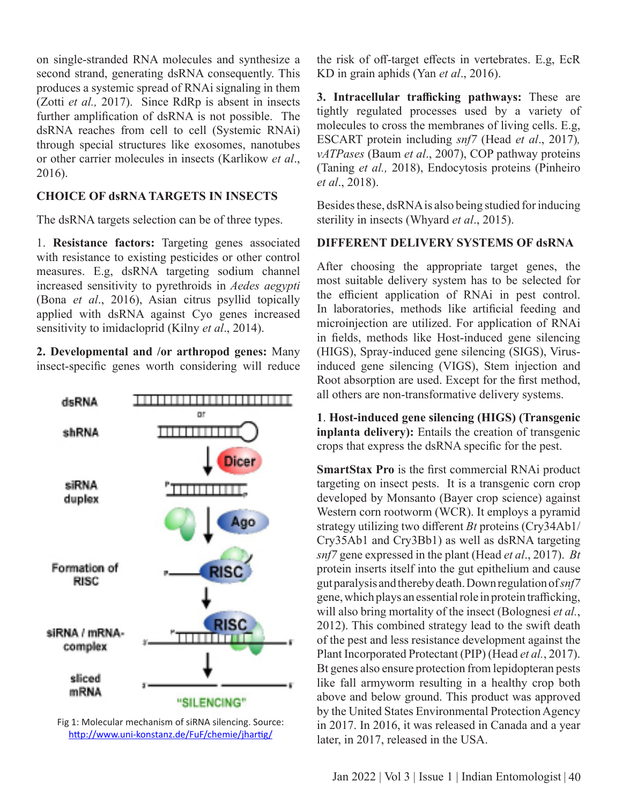on single-stranded RNA molecules and synthesize a second strand, generating dsRNA consequently. This produces a systemic spread of RNAi signaling in them (Zotti *et al.,* 2017). Since RdRp is absent in insects further amplification of dsRNA is not possible. The dsRNA reaches from cell to cell (Systemic RNAi) through special structures like exosomes, nanotubes or other carrier molecules in insects (Karlikow *et al*., 2016).

### **CHOICE OF dsRNA TARGETS IN INSECTS**

The dsRNA targets selection can be of three types.

1. **Resistance factors:** Targeting genes associated with resistance to existing pesticides or other control measures. E.g, dsRNA targeting sodium channel increased sensitivity to pyrethroids in *Aedes aegypti* (Bona *et al*., 2016), Asian citrus psyllid topically applied with dsRNA against Cyo genes increased sensitivity to imidacloprid (Kilny *et al*., 2014).

**2. Developmental and /or arthropod genes:** Many insect-specific genes worth considering will reduce



Fig 1: Molecular mechanism of siRNA silencing. Source: http://www.uni-konstanz.de/FuF/chemie/jhartig/

the risk of off-target effects in vertebrates. E.g, EcR KD in grain aphids (Yan *et al*., 2016).

**3. Intracellular trafficking pathways:** These are tightly regulated processes used by a variety of molecules to cross the membranes of living cells. E.g, ESCART protein including *snf7* (Head *et al*., 2017)*, vATPases* (Baum *et al*., 2007), COP pathway proteins (Taning *et al.,* 2018), Endocytosis proteins (Pinheiro *et al*., 2018).

Besides these, dsRNA is also being studied for inducing sterility in insects (Whyard *et al*., 2015).

#### **DIFFERENT DELIVERY SYSTEMS OF dsRNA**

After choosing the appropriate target genes, the most suitable delivery system has to be selected for the efficient application of RNAi in pest control. In laboratories, methods like artificial feeding and microinjection are utilized. For application of RNAi in fields, methods like Host-induced gene silencing (HIGS), Spray-induced gene silencing (SIGS), Virusinduced gene silencing (VIGS), Stem injection and Root absorption are used. Except for the first method, all others are non-transformative delivery systems.

**1**. **Host-induced gene silencing (HIGS) (Transgenic inplanta delivery):** Entails the creation of transgenic crops that express the dsRNA specific for the pest.

**SmartStax Pro** is the first commercial RNAi product targeting on insect pests. It is a transgenic corn crop developed by Monsanto (Bayer crop science) against Western corn rootworm (WCR). It employs a pyramid strategy utilizing two different *Bt* proteins (Cry34Ab1/ Cry35Ab1 and Cry3Bb1) as well as dsRNA targeting *snf7* gene expressed in the plant (Head *et al*., 2017). *Bt* protein inserts itself into the gut epithelium and cause gut paralysis and thereby death. Down regulation of *snf7* gene, which plays an essential role in protein trafficking, will also bring mortality of the insect (Bolognesi *et al.*, 2012). This combined strategy lead to the swift death of the pest and less resistance development against the Plant Incorporated Protectant (PIP) (Head *et al.*, 2017). Bt genes also ensure protection from lepidopteran pests like fall armyworm resulting in a healthy crop both above and below ground. This product was approved by the United States Environmental Protection Agency in 2017. In 2016, it was released in Canada and a year later, in 2017, released in the USA.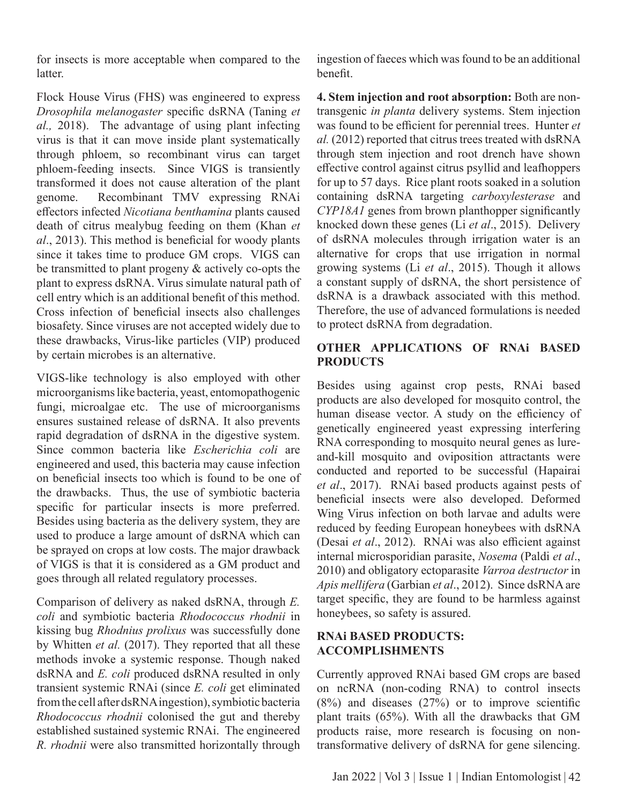for insects is more acceptable when compared to the latter.

Flock House Virus (FHS) was engineered to express *Drosophila melanogaster* specific dsRNA (Taning *et al.,* 2018). The advantage of using plant infecting virus is that it can move inside plant systematically through phloem, so recombinant virus can target phloem-feeding insects. Since VIGS is transiently transformed it does not cause alteration of the plant genome. Recombinant TMV expressing RNAi effectors infected *Nicotiana benthamina* plants caused death of citrus mealybug feeding on them (Khan *et al*., 2013). This method is beneficial for woody plants since it takes time to produce GM crops. VIGS can be transmitted to plant progeny & actively co-opts the plant to express dsRNA. Virus simulate natural path of cell entry which is an additional benefit of this method. Cross infection of beneficial insects also challenges biosafety. Since viruses are not accepted widely due to these drawbacks, Virus-like particles (VIP) produced by certain microbes is an alternative.

VIGS-like technology is also employed with other microorganisms like bacteria, yeast, entomopathogenic fungi, microalgae etc. The use of microorganisms ensures sustained release of dsRNA. It also prevents rapid degradation of dsRNA in the digestive system. Since common bacteria like *Escherichia coli* are engineered and used, this bacteria may cause infection on beneficial insects too which is found to be one of the drawbacks. Thus, the use of symbiotic bacteria specific for particular insects is more preferred. Besides using bacteria as the delivery system, they are used to produce a large amount of dsRNA which can be sprayed on crops at low costs. The major drawback of VIGS is that it is considered as a GM product and goes through all related regulatory processes.

Comparison of delivery as naked dsRNA, through *E. coli* and symbiotic bacteria *Rhodococcus rhodnii* in kissing bug *Rhodnius prolixus* was successfully done by Whitten *et al.* (2017). They reported that all these methods invoke a systemic response. Though naked dsRNA and *E. coli* produced dsRNA resulted in only transient systemic RNAi (since *E. coli* get eliminated from the cell after dsRNA ingestion), symbiotic bacteria *Rhodococcus rhodnii* colonised the gut and thereby established sustained systemic RNAi. The engineered *R. rhodnii* were also transmitted horizontally through ingestion of faeces which was found to be an additional benefit.

**4. Stem injection and root absorption:** Both are nontransgenic *in planta* delivery systems. Stem injection was found to be efficient for perennial trees. Hunter *et al.* (2012) reported that citrus trees treated with dsRNA through stem injection and root drench have shown effective control against citrus psyllid and leafhoppers for up to 57 days. Rice plant roots soaked in a solution containing dsRNA targeting *carboxylesterase* and *CYP18A1* genes from brown planthopper significantly knocked down these genes (Li *et al*., 2015). Delivery of dsRNA molecules through irrigation water is an alternative for crops that use irrigation in normal growing systems (Li *et al*., 2015). Though it allows a constant supply of dsRNA, the short persistence of dsRNA is a drawback associated with this method. Therefore, the use of advanced formulations is needed to protect dsRNA from degradation.

## **OTHER APPLICATIONS OF RNAi BASED PRODUCTS**

Besides using against crop pests, RNAi based products are also developed for mosquito control, the human disease vector. A study on the efficiency of genetically engineered yeast expressing interfering RNA corresponding to mosquito neural genes as lureand-kill mosquito and oviposition attractants were conducted and reported to be successful (Hapairai *et al*., 2017). RNAi based products against pests of beneficial insects were also developed. Deformed Wing Virus infection on both larvae and adults were reduced by feeding European honeybees with dsRNA (Desai *et al*., 2012). RNAi was also efficient against internal microsporidian parasite, *Nosema* (Paldi *et al*., 2010) and obligatory ectoparasite *Varroa destructor* in *Apis mellifera* (Garbian *et al*., 2012). Since dsRNA are target specific, they are found to be harmless against honeybees, so safety is assured.

## **RNAi BASED PRODUCTS: ACCOMPLISHMENTS**

Currently approved RNAi based GM crops are based on ncRNA (non-coding RNA) to control insects (8%) and diseases (27%) or to improve scientific plant traits (65%). With all the drawbacks that GM products raise, more research is focusing on nontransformative delivery of dsRNA for gene silencing.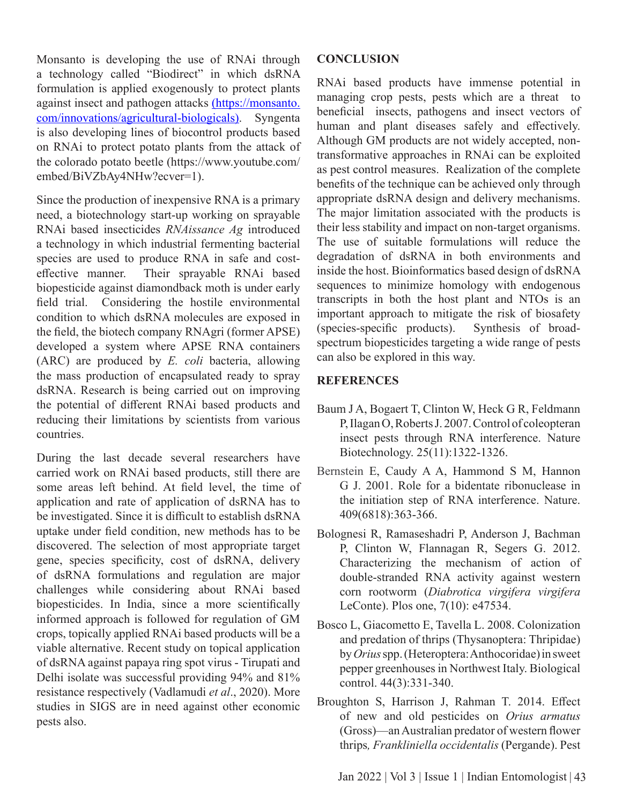Monsanto is developing the use of RNAi through a technology called "Biodirect" in which dsRNA formulation is applied exogenously to protect plants against insect and pathogen attacks (https://monsanto. com/innovations/agricultural-biologicals). Syngenta is also developing lines of biocontrol products based on RNAi to protect potato plants from the attack of the colorado potato beetle (https://www.youtube.com/ embed/BiVZbAy4NHw?ecver=1).

Since the production of inexpensive RNA is a primary need, a biotechnology start-up working on sprayable RNAi based insecticides *RNAissance Ag* introduced a technology in which industrial fermenting bacterial species are used to produce RNA in safe and costeffective manner. Their sprayable RNAi based biopesticide against diamondback moth is under early field trial. Considering the hostile environmental condition to which dsRNA molecules are exposed in the field, the biotech company RNAgri (former APSE) developed a system where APSE RNA containers (ARC) are produced by *E. coli* bacteria, allowing the mass production of encapsulated ready to spray dsRNA. Research is being carried out on improving the potential of different RNAi based products and reducing their limitations by scientists from various countries.

During the last decade several researchers have carried work on RNAi based products, still there are some areas left behind. At field level, the time of application and rate of application of dsRNA has to be investigated. Since it is difficult to establish dsRNA uptake under field condition, new methods has to be discovered. The selection of most appropriate target gene, species specificity, cost of dsRNA, delivery of dsRNA formulations and regulation are major challenges while considering about RNAi based biopesticides. In India, since a more scientifically informed approach is followed for regulation of GM crops, topically applied RNAi based products will be a viable alternative. Recent study on topical application of dsRNA against papaya ring spot virus - Tirupati and Delhi isolate was successful providing 94% and 81% resistance respectively (Vadlamudi *et al*., 2020). More studies in SIGS are in need against other economic pests also.

#### **CONCLUSION**

RNAi based products have immense potential in managing crop pests, pests which are a threat to beneficial insects, pathogens and insect vectors of human and plant diseases safely and effectively. Although GM products are not widely accepted, nontransformative approaches in RNAi can be exploited as pest control measures. Realization of the complete benefits of the technique can be achieved only through appropriate dsRNA design and delivery mechanisms. The major limitation associated with the products is their less stability and impact on non-target organisms. The use of suitable formulations will reduce the degradation of dsRNA in both environments and inside the host. Bioinformatics based design of dsRNA sequences to minimize homology with endogenous transcripts in both the host plant and NTOs is an important approach to mitigate the risk of biosafety<br>(species-specific products). Synthesis of broad- $(s$ pecies-specific products). spectrum biopesticides targeting a wide range of pests can also be explored in this way.

#### **REFERENCES**

- Baum J A, Bogaert T, Clinton W, Heck G R, Feldmann P, Ilagan O, Roberts J. 2007. Control of coleopteran insect pests through RNA interference. Nature Biotechnology. 25(11):1322-1326.
- Bernstein E, Caudy A A, Hammond S M, Hannon G J. 2001. Role for a bidentate ribonuclease in the initiation step of RNA interference. Nature. 409(6818):363-366.
- Bolognesi R, Ramaseshadri P, Anderson J, Bachman P, Clinton W, Flannagan R, Segers G. 2012. Characterizing the mechanism of action of double-stranded RNA activity against western corn rootworm (*Diabrotica virgifera virgifera* LeConte). Plos one, 7(10): e47534.
- Bosco L, Giacometto E, Tavella L. 2008. Colonization and predation of thrips (Thysanoptera: Thripidae) by *Orius* spp. (Heteroptera: Anthocoridae) in sweet pepper greenhouses in Northwest Italy. Biological control. 44(3):331-340.
- Broughton S, Harrison J, Rahman T. 2014. Effect of new and old pesticides on *Orius armatus* (Gross)—an Australian predator of western flower thrips*, Frankliniella occidentalis* (Pergande). Pest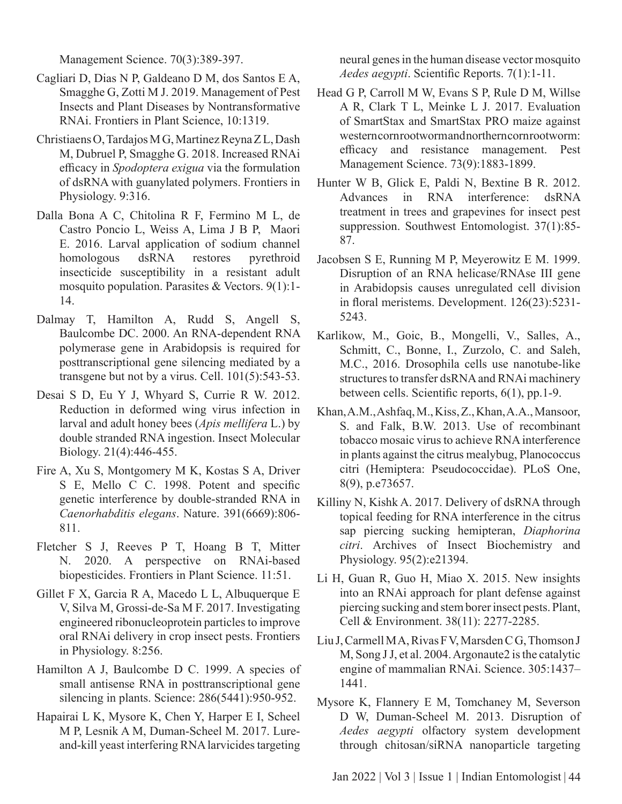Management Science. 70(3):389-397.

- Cagliari D, Dias N P, Galdeano D M, dos Santos E A, Smagghe G, Zotti M J. 2019. Management of Pest Insects and Plant Diseases by Nontransformative RNAi. Frontiers in Plant Science, 10:1319.
- Christiaens O, Tardajos M G, Martinez Reyna Z L, Dash M, Dubruel P, Smagghe G. 2018. Increased RNAi efficacy in *Spodoptera exigua* via the formulation of dsRNA with guanylated polymers. Frontiers in Physiology. 9:316.
- Dalla Bona A C, Chitolina R F, Fermino M L, de Castro Poncio L, Weiss A, Lima J B P, Maori E. 2016. Larval application of sodium channel homologous dsRNA restores pyrethroid insecticide susceptibility in a resistant adult mosquito population. Parasites & Vectors. 9(1):1- 14.
- Dalmay T, Hamilton A, Rudd S, Angell S, Baulcombe DC. 2000. An RNA-dependent RNA polymerase gene in Arabidopsis is required for posttranscriptional gene silencing mediated by a transgene but not by a virus. Cell. 101(5):543-53.
- Desai S D, Eu Y J, Whyard S, Currie R W. 2012. Reduction in deformed wing virus infection in larval and adult honey bees (*Apis mellifera* L.) by double stranded RNA ingestion. Insect Molecular Biology. 21(4):446-455.
- Fire A, Xu S, Montgomery M K, Kostas S A, Driver S E, Mello C C. 1998. Potent and specific genetic interference by double-stranded RNA in *Caenorhabditis elegans*. Nature. 391(6669):806- 811.
- Fletcher S J, Reeves P T, Hoang B T, Mitter N. 2020. A perspective on RNAi-based biopesticides. Frontiers in Plant Science. 11:51.
- Gillet F X, Garcia R A, Macedo L L, Albuquerque E V, Silva M, Grossi-de-Sa M F. 2017. Investigating engineered ribonucleoprotein particles to improve oral RNAi delivery in crop insect pests. Frontiers in Physiology. 8:256.
- Hamilton A J, Baulcombe D C. 1999. A species of small antisense RNA in posttranscriptional gene silencing in plants. Science: 286(5441):950-952.
- Hapairai L K, Mysore K, Chen Y, Harper E I, Scheel M P, Lesnik A M, Duman-Scheel M. 2017. Lureand-kill yeast interfering RNA larvicides targeting

neural genes in the human disease vector mosquito *Aedes aegypti*. Scientific Reports. 7(1):1-11.

- Head G P, Carroll M W, Evans S P, Rule D M, Willse A R, Clark T L, Meinke L J. 2017. Evaluation of SmartStax and SmartStax PRO maize against western corn rootworm and northern corn rootworm: efficacy and resistance management. Pest Management Science. 73(9):1883-1899.
- Hunter W B, Glick E, Paldi N, Bextine B R. 2012. Advances in RNA interference: dsRNA treatment in trees and grapevines for insect pest suppression. Southwest Entomologist. 37(1):85- 87.
- Jacobsen S E, Running M P, Meyerowitz E M. 1999. Disruption of an RNA helicase/RNAse III gene in Arabidopsis causes unregulated cell division in floral meristems. Development. 126(23):5231- 5243.
- Karlikow, M., Goic, B., Mongelli, V., Salles, A., Schmitt, C., Bonne, I., Zurzolo, C. and Saleh, M.C., 2016. Drosophila cells use nanotube-like structures to transfer dsRNA and RNAi machinery between cells. Scientific reports, 6(1), pp.1-9.
- Khan, A.M., Ashfaq, M., Kiss, Z., Khan, A.A., Mansoor, S. and Falk, B.W. 2013. Use of recombinant tobacco mosaic virus to achieve RNA interference in plants against the citrus mealybug, Planococcus citri (Hemiptera: Pseudococcidae). PLoS One, 8(9), p.e73657.
- Killiny N, Kishk A. 2017. Delivery of dsRNA through topical feeding for RNA interference in the citrus sap piercing sucking hemipteran, *Diaphorina citri*. Archives of Insect Biochemistry and Physiology. 95(2):e21394.
- Li H, Guan R, Guo H, Miao X. 2015. New insights into an RNAi approach for plant defense against piercing sucking and stem borer insect pests. Plant, Cell & Environment. 38(11): 2277-2285.
- Liu J, Carmell M A, Rivas F V, Marsden C G, Thomson J M, Song J J, et al. 2004. Argonaute2 is the catalytic engine of mammalian RNAi. Science. 305:1437– 1441.
- Mysore K, Flannery E M, Tomchaney M, Severson D W, Duman-Scheel M. 2013. Disruption of *Aedes aegypti* olfactory system development through chitosan/siRNA nanoparticle targeting

Jan 2022 | Vol 3 | Issue 1 | Indian Entomologist *|* 44